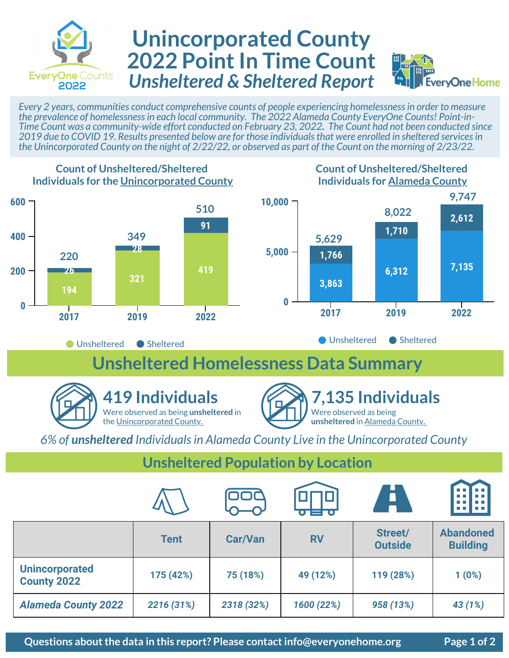

## **Unincorporated County 2022 Point In Time Count** *Unsheltered & Sheltered Report*



*Every 2 years, communities conduct comprehensive counts of people experiencing homelessness in order to measure the prevalence of homelessness in each local community. The 2022 Alameda County EveryOne Counts! Point-in-Time Count was a community-wide effort conducted on February 23, 2022. The Count had not been conducted since 2019 due to COVID 19. Results presented below are for those individuals that were enrolled in sheltered services in the Unincorporated County on the night of 2/22/22, or observed as part of the Count on the morning of 2/23/22.* 



*6% of unsheltered Individuals in Alameda County Live in the Unincorporated County*

**Unsheltered Population by Location**

|                                             |             | 00C            | $\overline{\bullet}$ , $\overline{\bullet}$ , $\overline{\bullet}$ , $\overline{\bullet}$ | <b>A</b>                  | . . <b>.</b><br>n n                 |
|---------------------------------------------|-------------|----------------|-------------------------------------------------------------------------------------------|---------------------------|-------------------------------------|
|                                             | <b>Tent</b> | <b>Car/Van</b> | <b>RV</b>                                                                                 | Street/<br><b>Outside</b> | <b>Abandoned</b><br><b>Building</b> |
| <b>Unincorporated</b><br><b>County 2022</b> | 175 (42%)   | 75 (18%)       | 49 (12%)                                                                                  | 119 (28%)                 | 1(0%)                               |
| <b>Alameda County 2022</b>                  | 2216 (31%)  | 2318 (32%)     | 1600 (22%)                                                                                | 958 (13%)                 | 43 (1%)                             |